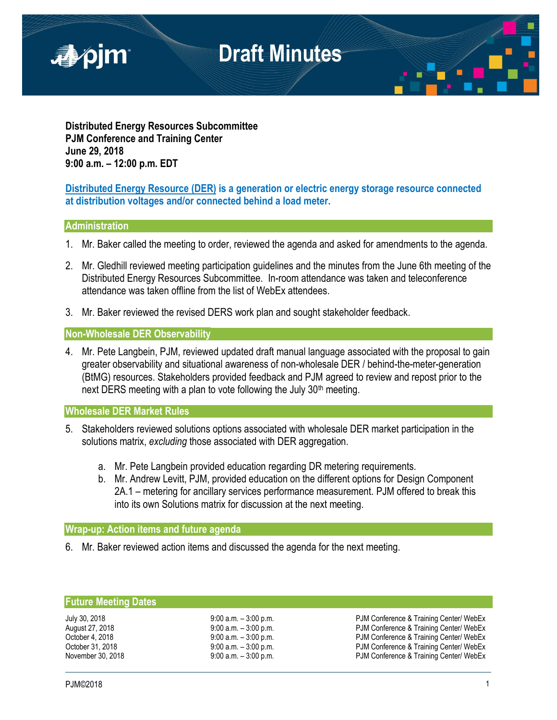

**Distributed Energy Resources Subcommittee PJM Conference and Training Center June 29, 2018 9:00 a.m. – 12:00 p.m. EDT**

### **Distributed Energy Resource (DER) is a generation or electric energy storage resource connected at distribution voltages and/or connected behind a load meter.**

### **Administration**

- 1. Mr. Baker called the meeting to order, reviewed the agenda and asked for amendments to the agenda.
- 2. Mr. Gledhill reviewed meeting participation guidelines and the minutes from the June 6th meeting of the Distributed Energy Resources Subcommittee. In-room attendance was taken and teleconference attendance was taken offline from the list of WebEx attendees.
- 3. Mr. Baker reviewed the revised DERS work plan and sought stakeholder feedback.

#### **Non-Wholesale DER Observability**

4. Mr. Pete Langbein, PJM, reviewed updated draft manual language associated with the proposal to gain greater observability and situational awareness of non-wholesale DER / behind-the-meter-generation (BtMG) resources. Stakeholders provided feedback and PJM agreed to review and repost prior to the next DERS meeting with a plan to vote following the July 30<sup>th</sup> meeting.

**Wholesale DER Market Rules**

- 5. Stakeholders reviewed solutions options associated with wholesale DER market participation in the solutions matrix, *excluding* those associated with DER aggregation.
	- a. Mr. Pete Langbein provided education regarding DR metering requirements.
	- b. Mr. Andrew Levitt, PJM, provided education on the different options for Design Component 2A.1 – metering for ancillary services performance measurement. PJM offered to break this into its own Solutions matrix for discussion at the next meeting.

#### **Wrap-up: Action items and future agenda**

6. Mr. Baker reviewed action items and discussed the agenda for the next meeting.

### **Future Meeting Dates**

July 30, 2018 **19:00 a.m.** – 3:00 p.m. **PJM Conference & Training Center/ WebEx** August 27, 2018 **19:00 a.m.** – 3:00 p.m. **PJM Conference & Training Center/ WebEx**<br>October 4, 2018 **19:00 a.m.** – 3:00 p.m. PJM Conference & Training Center/ WebEx October 4, 2018 **19:00 a.m.** – 3:00 p.m. **PJM Conference & Training Center/ WebEx**<br>October 31, 2018 **19:00 a.m.** – 3:00 p.m. PJM Conference & Training Center/ WebEx October 31, 2018 **9:00 a.m.** – 3:00 p.m. PJM Conference & Training Center/ WebEx<br>
9:00 a.m. – 3:00 p.m. PJM Conference & Training Center/ WebEx November 30, 2018 **19:00 a.m.** – 3:00 p.m. **PJM Conference & Training Center/ WebEx**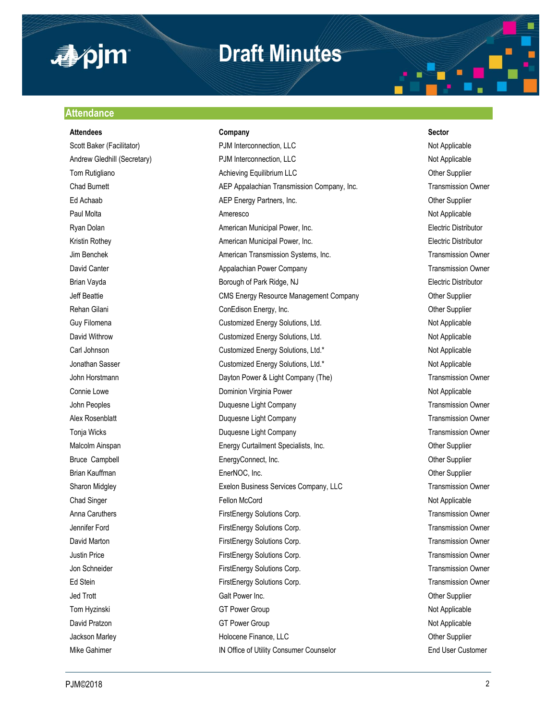

## **Draft Minutes**

#### **Attendance**

#### **Attendees Company Sector**

Scott Baker (Facilitator) **PJM Interconnection, LLC** Not Applicable Not Applicable Andrew Gledhill (Secretary) **PJM Interconnection, LLC** Not Applicable Not Applicable Tom Rutigliano **Achieving Equilibrium LLC** Characteriano Cher Supplier Chad Burnett **AEP Appalachian Transmission Company**, Inc. Transmission Owner Ed Achaab **AEP Energy Partners, Inc. AEP Energy Partners, Inc. Changing Communication** Other Supplier Paul Molta Ameresco Ameresco Ameresco and Ameresco Ameresco Ameresco Ameresco Ameresco Ameresco Ameresco Ameresco Ryan Dolan **American Municipal Power, Inc.** American Municipal Power, Inc. **Electric Distributor** Electric Distributor Kristin Rothey **American Municipal Power, Inc.** American Municipal Power, Inc. **Electric Distributor** Jim Benchek **American Transmission Systems, Inc.** Transmission Owner David Canter **Appalachian Power Company Company** Transmission Owner Company **Transmission Owner** Brian Vayda **Borough of Park Ridge, NJ** Borough of Park Ridge, NJ **Electric Distributor** Jeff Beattie CMS Energy Resource Management Company Other Supplier Rehan Gilani ConEdison Energy, Inc. Other Supplier Guy Filomena **Customized Energy Solutions, Ltd.** Not Applicable Not Applicable David Withrow **Customized Energy Solutions, Ltd.** Not Applicable Not Applicable Carl Johnson **Customized Energy Solutions, Ltd.\*** Not Applicable Not Applicable Jonathan Sasser **Customized Energy Solutions, Ltd.\*** Not Applicable Not Applicable John Horstmann **Dayton Power & Light Company (The)** Transmission Owner Company (The Company Che) Connie Lowe **Connie Lowe Dominion Virginia Power** Not Applicable Not Applicable John Peoples **Duquesne Light Company Company** Transmission Owner Alex Rosenblatt **Alex Rosenblatt** Company Company **Company Company Company Company** Transmission Owner Tonja Wicks Duquesne Light Company Transmission Owner Malcolm Ainspan **Energy Curtailment Specialists, Inc.** Chronic Communisty Communisty Communisty Communisty Communisty Communisty Communisty Communisty Communisty Communisty Communisty Communisty Communisty Communisty Commu Bruce Campbell **EnergyConnect, Inc.** Communication Communication Communication Communication Communication Communication Communication Communication Communication Communication Communication Communication Communication Com Brian Kauffman **EnerNOC, Inc.** Channel EnerNOC, Inc. **EnerGy** Channel Channel Channel Channel Channel Channel Channel Channel Channel Channel Channel Channel Channel Channel Channel Channel Channel Channel Channel Channel Sharon Midgley **Exelon Business Services Company, LLC** Transmission Owner Chad Singer **Not Applicable** Fellon McCord **Fellon McCord Not Applicable** Not Applicable Anna Caruthers **FirstEnergy Solutions Corp.** Transmission Owner Jennifer Ford **FirstEnergy Solutions Corp.** Transmission Owner David Marton **FirstEnergy Solutions Corp.** Transmission Owner Corp. Justin Price **FirstEnergy Solutions Corp.** Transmission Owner Jon Schneider **FirstEnergy Solutions Corp.** Transmission Owner Corp. Transmission Owner Ed Stein FirstEnergy Solutions Corp. Transmission Owner Corp. Transmission Owner Jed Trott Call Power Inc. Calt Power Inc. Tom Hyzinski Not Applicable GT Power Group Not Applicable Not Applicable Not Applicable David Pratzon **COLL Accord COVERTS** GT Power Group COVERTS And Applicable Not Applicable Jackson Marley **Market Accord Finance, LC** According to the Supplier Community of the Supplier Mike Gahimer **IN Office of Utility Consumer Counselor** End User Customer Customer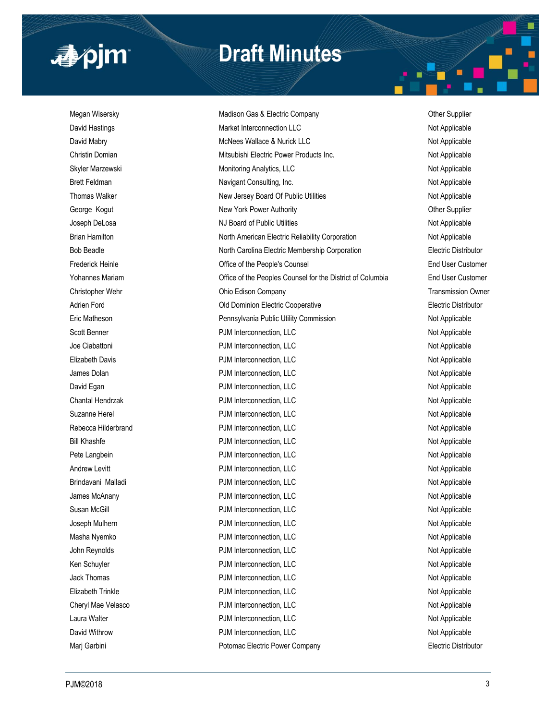

## **Draft Minutes**

Megan Wisersky **Matison Gas & Electric Company** Magison Gas & Electric Company **Character Supplier** David Hastings **Market Interconnection LLC Market Interconnection LLC** Not Applicable David Mabry **McNees Wallace & Nurick LLC** Not Applicable Not Applicable Christin Domian Nitsubishi Electric Power Products Inc. Not Applicable Not Applicable Skyler Marzewski **Monitoring Analytics, LLC** Not Applicable Not Applicable Brett Feldman Navigant Consulting, Inc. Not Applicable Not Applicable Not Applicable Thomas Walker New Jersey Board Of Public Utilities Not Applicable Not Applicable George Kogut **New York Power Authority New York Power Authority New York Power Authority Other Supplier** Joseph DeLosa NJ Board of Public Utilities Not Applicable Not Applicable Not Applicable Brian Hamilton North American Electric Reliability Corporation Not Applicable Not Applicable Bob Beadle **North Carolina Electric Membership Corporation** Electric Distributor Frederick Heinle **End User Customer** Office of the People's Counsel **End End User Customer** End User Customer Yohannes Mariam Office of the Peoples Counsel for the District of Columbia End User Customer Christopher Wehr Ohio Edison Company Transmission Owner Adrien Ford **Adrien Ford COLO COLO COLO COLO COOPERATIVE COOPERATIVE COOPERATIVE COOPERATIVE ELECTRIC Distributor** Eric Matheson **Pennsylvania Public Utility Commission** Public Utility Commission Not Applicable Scott Benner **Not Applicable** PJM Interconnection, LLC Not Applicable Not Applicable Joe Ciabattoni **Not Applicable** PJM Interconnection, LLC Not Applicable Not Applicable Elizabeth Davis **Elizabeth Davis PJM Interconnection, LLC** Not Applicable James Dolan **Disk and Applicable** PJM Interconnection, LLC **Not Applicable** Not Applicable David Egan **David Egan PJM Interconnection, LLC** Not Applicable Chantal Hendrzak **PJM Interconnection, LLC** Not Applicable Not Applicable Suzanne Herel **Not Applicable** PJM Interconnection, LLC **Not Applicable** Not Applicable Rebecca Hilderbrand **PJM Interconnection, LLC** Not Applicable Bill Khashfe **EXALL REGISTER POINT PUM Interconnection, LLC** Not Applicable Not Applicable Pete Langbein **PJM Interconnection, LLC** Not Applicable Not Applicable Andrew Levitt **Andrew Levitt** PJM Interconnection, LLC **Andrew Levitt** Not Applicable Brindavani Malladi **National PS Accomments** PJM Interconnection, LLC Not Applicable Not Applicable James McAnany **Not Applicable** PJM Interconnection, LLC Not Applicable Not Applicable Susan McGill **Susan McGill PJM Interconnection, LLC** Not Applicable Joseph Mulhern **PJM Interconnection, LLC** Not Applicable Not Applicable Masha Nyemko **PJM Interconnection, LLC** Not Applicable Not Applicable John Reynolds **PJM Interconnection, LLC** Not Applicable Not Applicable Ken Schuyler **Not Applicable** PJM Interconnection, LLC Not Applicable Not Applicable Jack Thomas **PJM Interconnection, LLC** Not Applicable Not Applicable Elizabeth Trinkle Not Applicable PJM Interconnection, LLC Not Applicable Not Applicable Cheryl Mae Velasco **PJM Interconnection, LLC** Not Applicable Not Applicable Laura Walter **Not Applicable** PJM Interconnection, LLC **Not Applicable** Not Applicable David Withrow **PJM Interconnection, LLC** Not Applicable Marj Garbini **Electric Distributor** Potomac Electric Power Company **Potomac Electric Distributor Electric Distributor**